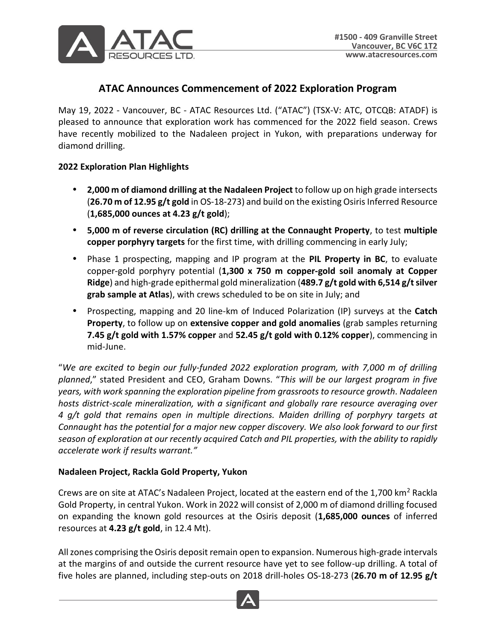

# **ATAC Announces Commencement of 2022 Exploration Program**

May 19, 2022 - Vancouver, BC - ATAC Resources Ltd. ("ATAC") (TSX-V: ATC, OTCQB: ATADF) is pleased to announce that exploration work has commenced for the 2022 field season. Crews have recently mobilized to the Nadaleen project in Yukon, with preparations underway for diamond drilling.

#### **2022 Exploration Plan Highlights**

- **2,000 m of diamond drilling at the Nadaleen Project** to follow up on high grade intersects (**26.70 m of 12.95 g/t gold** in OS-18-273) and build on the existing Osiris Inferred Resource (**1,685,000 ounces at 4.23 g/t gold**);
- **5,000 m of reverse circulation (RC) drilling at the Connaught Property**, to test **multiple copper porphyry targets** for the first time, with drilling commencing in early July;
- Phase 1 prospecting, mapping and IP program at the **PIL Property in BC**, to evaluate copper-gold porphyry potential (**1,300 x 750 m copper-gold soil anomaly at Copper Ridge**) and high-grade epithermal gold mineralization (**489.7 g/t gold with 6,514 g/t silver grab sample at Atlas**), with crews scheduled to be on site in July; and
- Prospecting, mapping and 20 line-km of Induced Polarization (IP) surveys at the **Catch Property**, to follow up on **extensive copper and gold anomalies** (grab samples returning **7.45 g/t gold with 1.57% copper** and **52.45 g/t gold with 0.12% copper**), commencing in mid-June.

"*We are excited to begin our fully-funded 2022 exploration program, with 7,000 m of drilling planned*," stated President and CEO, Graham Downs. "*This will be our largest program in five years, with work spanning the exploration pipeline from grassroots to resource growth. Nadaleen hosts district-scale mineralization, with a significant and globally rare resource averaging over 4 g/t gold that remains open in multiple directions. Maiden drilling of porphyry targets at Connaught has the potential for a major new copper discovery. We also look forward to our first season of exploration at our recently acquired Catch and PIL properties, with the ability to rapidly accelerate work if results warrant."*

#### **Nadaleen Project, Rackla Gold Property, Yukon**

Crews are on site at ATAC's Nadaleen Project, located at the eastern end of the 1,700 km<sup>2</sup> Rackla Gold Property, in central Yukon. Work in 2022 will consist of 2,000 m of diamond drilling focused on expanding the known gold resources at the Osiris deposit (**1,685,000 ounces** of inferred resources at **4.23 g/t gold**, in 12.4 Mt).

All zones comprising the Osiris deposit remain open to expansion. Numerous high-grade intervals at the margins of and outside the current resource have yet to see follow-up drilling. A total of five holes are planned, including step-outs on 2018 drill-holes OS-18-273 (**26.70 m of 12.95 g/t** 

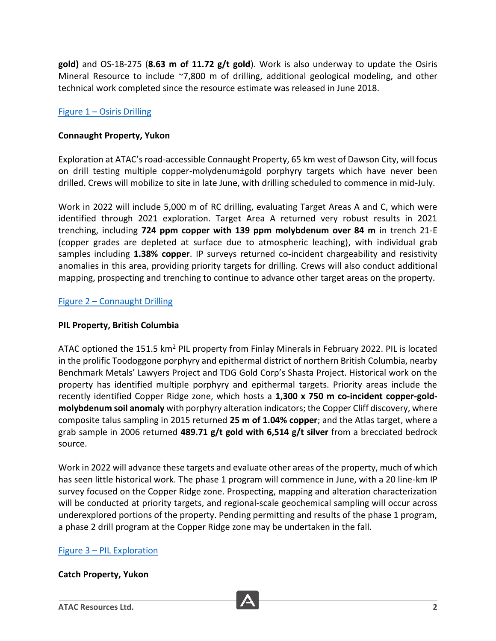**gold)** and OS-18-275 (**8.63 m of 11.72 g/t gold**). Work is also underway to update the Osiris Mineral Resource to include ~7,800 m of drilling, additional geological modeling, and other technical work completed since the resource estimate was released in June 2018.

# Figure 1 – [Osiris Drilling](https://atacresources.com/site/assets/files/7253/2022_05_18_-_figure_1_-_osiris_drilling.pdf)

### **Connaught Property, Yukon**

Exploration at ATAC's road-accessible Connaught Property, 65 km west of Dawson City, will focus on drill testing multiple copper-molydenum±gold porphyry targets which have never been drilled. Crews will mobilize to site in late June, with drilling scheduled to commence in mid-July.

Work in 2022 will include 5,000 m of RC drilling, evaluating Target Areas A and C, which were identified through 2021 exploration. Target Area A returned very robust results in 2021 trenching, including **724 ppm copper with 139 ppm molybdenum over 84 m** in trench 21-E (copper grades are depleted at surface due to atmospheric leaching), with individual grab samples including **1.38% copper**. IP surveys returned co-incident chargeability and resistivity anomalies in this area, providing priority targets for drilling. Crews will also conduct additional mapping, prospecting and trenching to continue to advance other target areas on the property.

Figure 2 – [Connaught Drilling](https://atacresources.com/site/assets/files/7282/2022_05_18_-_figure_2_-_connaught_drilling.pdf)

### **PIL Property, British Columbia**

ATAC optioned the 151.5 km<sup>2</sup> PIL property from Finlay Minerals in February 2022. PIL is located in the prolific Toodoggone porphyry and epithermal district of northern British Columbia, nearby Benchmark Metals' Lawyers Project and TDG Gold Corp's Shasta Project. Historical work on the property has identified multiple porphyry and epithermal targets. Priority areas include the recently identified Copper Ridge zone, which hosts a **1,300 x 750 m co-incident copper-goldmolybdenum soil anomaly** with porphyry alteration indicators; the Copper Cliff discovery, where composite talus sampling in 2015 returned **25 m of 1.04% copper**; and the Atlas target, where a grab sample in 2006 returned **489.71 g/t gold with 6,514 g/t silver** from a brecciated bedrock source.

Work in 2022 will advance these targets and evaluate other areas of the property, much of which has seen little historical work. The phase 1 program will commence in June, with a 20 line-km IP survey focused on the Copper Ridge zone. Prospecting, mapping and alteration characterization will be conducted at priority targets, and regional-scale geochemical sampling will occur across underexplored portions of the property. Pending permitting and results of the phase 1 program, a phase 2 drill program at the Copper Ridge zone may be undertaken in the fall.

#### Figure 3 – [PIL Exploration](https://atacresources.com/site/assets/files/7309/2022_05_18_-_figure_3_-_pil_property.pdf)

#### **Catch Property, Yukon**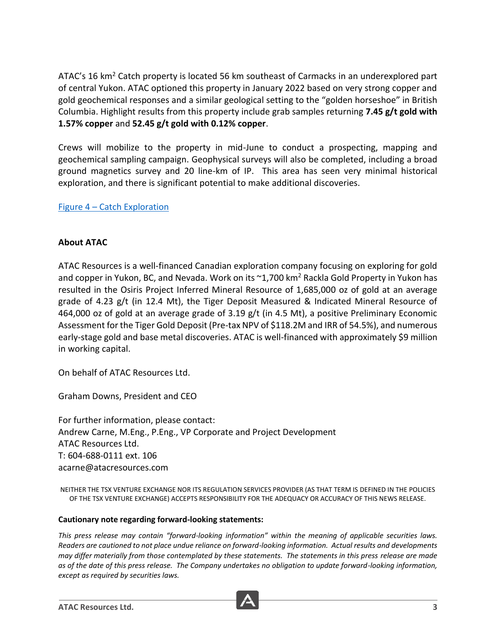ATAC's 16 km<sup>2</sup> Catch property is located 56 km southeast of Carmacks in an underexplored part of central Yukon. ATAC optioned this property in January 2022 based on very strong copper and gold geochemical responses and a similar geological setting to the "golden horseshoe" in British Columbia. Highlight results from this property include grab samples returning **7.45 g/t gold with 1.57% copper** and **52.45 g/t gold with 0.12% copper**.

Crews will mobilize to the property in mid-June to conduct a prospecting, mapping and geochemical sampling campaign. Geophysical surveys will also be completed, including a broad ground magnetics survey and 20 line-km of IP. This area has seen very minimal historical exploration, and there is significant potential to make additional discoveries.

Figure 4 – [Catch Exploration](https://atacresources.com/site/assets/files/7300/2022_05_18_-_figure_4_-_catch_property.pdf)

## **About ATAC**

ATAC Resources is a well-financed Canadian exploration company focusing on exploring for gold and copper in Yukon, BC, and Nevada. Work on its  $\sim$ 1,700 km<sup>2</sup> Rackla Gold Property in Yukon has resulted in the Osiris Project Inferred Mineral Resource of 1,685,000 oz of gold at an average grade of 4.23 g/t (in 12.4 Mt), the Tiger Deposit Measured & Indicated Mineral Resource of 464,000 oz of gold at an average grade of 3.19 g/t (in 4.5 Mt), a positive Preliminary Economic Assessment for the Tiger Gold Deposit (Pre-tax NPV of \$118.2M and IRR of 54.5%), and numerous early-stage gold and base metal discoveries. ATAC is well-financed with approximately \$9 million in working capital.

On behalf of ATAC Resources Ltd.

Graham Downs, President and CEO

For further information, please contact: Andrew Carne, M.Eng., P.Eng., VP Corporate and Project Development ATAC Resources Ltd. T: 604-688-0111 ext. 106 acarne@atacresources.com

NEITHER THE TSX VENTURE EXCHANGE NOR ITS REGULATION SERVICES PROVIDER (AS THAT TERM IS DEFINED IN THE POLICIES OF THE TSX VENTURE EXCHANGE) ACCEPTS RESPONSIBILITY FOR THE ADEQUACY OR ACCURACY OF THIS NEWS RELEASE.

#### **Cautionary note regarding forward-looking statements:**

*This press release may contain "forward-looking information" within the meaning of applicable securities laws. Readers are cautioned to not place undue reliance on forward-looking information. Actual results and developments may differ materially from those contemplated by these statements. The statements in this press release are made as of the date of this press release. The Company undertakes no obligation to update forward-looking information, except as required by securities laws.*